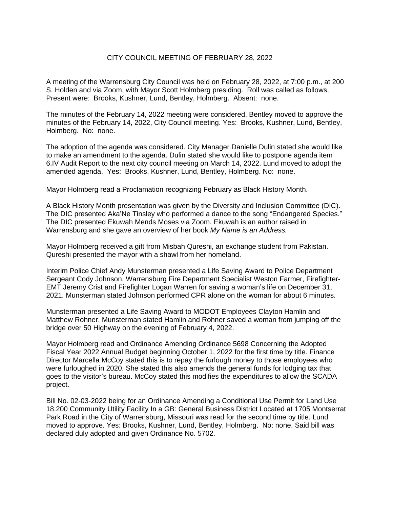## CITY COUNCIL MEETING OF FEBRUARY 28, 2022

A meeting of the Warrensburg City Council was held on February 28, 2022, at 7:00 p.m., at 200 S. Holden and via Zoom, with Mayor Scott Holmberg presiding. Roll was called as follows, Present were: Brooks, Kushner, Lund, Bentley, Holmberg. Absent: none.

The minutes of the February 14, 2022 meeting were considered. Bentley moved to approve the minutes of the February 14, 2022, City Council meeting. Yes: Brooks, Kushner, Lund, Bentley, Holmberg. No: none.

The adoption of the agenda was considered. City Manager Danielle Dulin stated she would like to make an amendment to the agenda. Dulin stated she would like to postpone agenda item 6.IV Audit Report to the next city council meeting on March 14, 2022. Lund moved to adopt the amended agenda. Yes: Brooks, Kushner, Lund, Bentley, Holmberg. No: none.

Mayor Holmberg read a Proclamation recognizing February as Black History Month.

A Black History Month presentation was given by the Diversity and Inclusion Committee (DIC). The DIC presented Aka'Ne Tinsley who performed a dance to the song "Endangered Species." The DIC presented Ekuwah Mends Moses via Zoom. Ekuwah is an author raised in Warrensburg and she gave an overview of her book *My Name is an Address.*

Mayor Holmberg received a gift from Misbah Qureshi, an exchange student from Pakistan. Qureshi presented the mayor with a shawl from her homeland.

Interim Police Chief Andy Munsterman presented a Life Saving Award to Police Department Sergeant Cody Johnson, Warrensburg Fire Department Specialist Weston Farmer, Firefighter-EMT Jeremy Crist and Firefighter Logan Warren for saving a woman's life on December 31, 2021. Munsterman stated Johnson performed CPR alone on the woman for about 6 minutes.

Munsterman presented a Life Saving Award to MODOT Employees Clayton Hamlin and Matthew Rohner. Munsterman stated Hamlin and Rohner saved a woman from jumping off the bridge over 50 Highway on the evening of February 4, 2022.

Mayor Holmberg read and Ordinance Amending Ordinance 5698 Concerning the Adopted Fiscal Year 2022 Annual Budget beginning October 1, 2022 for the first time by title. Finance Director Marcella McCoy stated this is to repay the furlough money to those employees who were furloughed in 2020. She stated this also amends the general funds for lodging tax that goes to the visitor's bureau. McCoy stated this modifies the expenditures to allow the SCADA project.

Bill No. 02-03-2022 being for an Ordinance Amending a Conditional Use Permit for Land Use 18.200 Community Utility Facility In a GB: General Business District Located at 1705 Montserrat Park Road in the City of Warrensburg, Missouri was read for the second time by title. Lund moved to approve. Yes: Brooks, Kushner, Lund, Bentley, Holmberg. No: none. Said bill was declared duly adopted and given Ordinance No. 5702.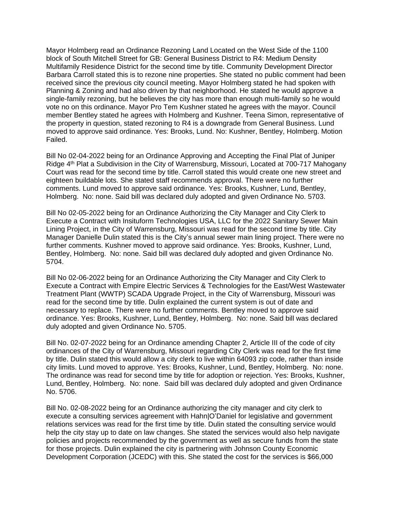Mayor Holmberg read an Ordinance Rezoning Land Located on the West Side of the 1100 block of South Mitchell Street for GB: General Business District to R4: Medium Density Multifamily Residence District for the second time by title. Community Development Director Barbara Carroll stated this is to rezone nine properties. She stated no public comment had been received since the previous city council meeting. Mayor Holmberg stated he had spoken with Planning & Zoning and had also driven by that neighborhood. He stated he would approve a single-family rezoning, but he believes the city has more than enough multi-family so he would vote no on this ordinance. Mayor Pro Tem Kushner stated he agrees with the mayor. Council member Bentley stated he agrees with Holmberg and Kushner. Teena Simon, representative of the property in question, stated rezoning to R4 is a downgrade from General Business. Lund moved to approve said ordinance. Yes: Brooks, Lund. No: Kushner, Bentley, Holmberg. Motion Failed.

Bill No 02-04-2022 being for an Ordinance Approving and Accepting the Final Plat of Juniper Ridge 4<sup>th</sup> Plat a Subdivision in the City of Warrensburg, Missouri, Located at 700-717 Mahogany Court was read for the second time by title. Carroll stated this would create one new street and eighteen buildable lots. She stated staff recommends approval. There were no further comments. Lund moved to approve said ordinance. Yes: Brooks, Kushner, Lund, Bentley, Holmberg. No: none. Said bill was declared duly adopted and given Ordinance No. 5703.

Bill No 02-05-2022 being for an Ordinance Authorizing the City Manager and City Clerk to Execute a Contract with Insituform Technologies USA, LLC for the 2022 Sanitary Sewer Main Lining Project, in the City of Warrensburg, Missouri was read for the second time by title. City Manager Danielle Dulin stated this is the City's annual sewer main lining project. There were no further comments. Kushner moved to approve said ordinance. Yes: Brooks, Kushner, Lund, Bentley, Holmberg. No: none. Said bill was declared duly adopted and given Ordinance No. 5704.

Bill No 02-06-2022 being for an Ordinance Authorizing the City Manager and City Clerk to Execute a Contract with Empire Electric Services & Technologies for the East/West Wastewater Treatment Plant (WWTP) SCADA Upgrade Project, in the City of Warrensburg, Missouri was read for the second time by title. Dulin explained the current system is out of date and necessary to replace. There were no further comments. Bentley moved to approve said ordinance. Yes: Brooks, Kushner, Lund, Bentley, Holmberg. No: none. Said bill was declared duly adopted and given Ordinance No. 5705.

Bill No. 02-07-2022 being for an Ordinance amending Chapter 2, Article III of the code of city ordinances of the City of Warrensburg, Missouri regarding City Clerk was read for the first time by title. Dulin stated this would allow a city clerk to live within 64093 zip code, rather than inside city limits. Lund moved to approve. Yes: Brooks, Kushner, Lund, Bentley, Holmberg. No: none. The ordinance was read for second time by title for adoption or rejection. Yes: Brooks, Kushner, Lund, Bentley, Holmberg. No: none. Said bill was declared duly adopted and given Ordinance No. 5706.

Bill No. 02-08-2022 being for an Ordinance authorizing the city manager and city clerk to execute a consulting services agreement with Hahn|O'Daniel for legislative and government relations services was read for the first time by title. Dulin stated the consulting service would help the city stay up to date on law changes. She stated the services would also help navigate policies and projects recommended by the government as well as secure funds from the state for those projects. Dulin explained the city is partnering with Johnson County Economic Development Corporation (JCEDC) with this. She stated the cost for the services is \$66,000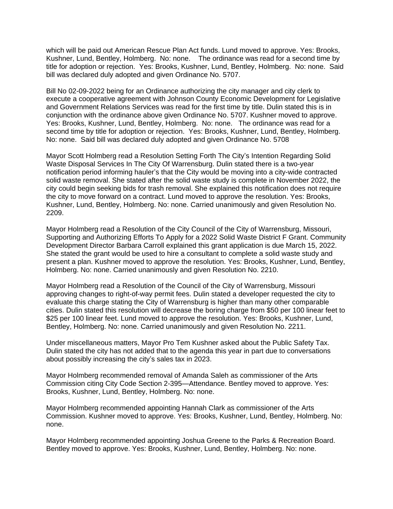which will be paid out American Rescue Plan Act funds. Lund moved to approve. Yes: Brooks, Kushner, Lund, Bentley, Holmberg. No: none. The ordinance was read for a second time by title for adoption or rejection. Yes: Brooks, Kushner, Lund, Bentley, Holmberg. No: none. Said bill was declared duly adopted and given Ordinance No. 5707.

Bill No 02-09-2022 being for an Ordinance authorizing the city manager and city clerk to execute a cooperative agreement with Johnson County Economic Development for Legislative and Government Relations Services was read for the first time by title. Dulin stated this is in conjunction with the ordinance above given Ordinance No. 5707. Kushner moved to approve. Yes: Brooks, Kushner, Lund, Bentley, Holmberg. No: none. The ordinance was read for a second time by title for adoption or rejection. Yes: Brooks, Kushner, Lund, Bentley, Holmberg. No: none. Said bill was declared duly adopted and given Ordinance No. 5708

Mayor Scott Holmberg read a Resolution Setting Forth The City's Intention Regarding Solid Waste Disposal Services In The City Of Warrensburg. Dulin stated there is a two-year notification period informing hauler's that the City would be moving into a city-wide contracted solid waste removal. She stated after the solid waste study is complete in November 2022, the city could begin seeking bids for trash removal. She explained this notification does not require the city to move forward on a contract. Lund moved to approve the resolution. Yes: Brooks, Kushner, Lund, Bentley, Holmberg. No: none. Carried unanimously and given Resolution No. 2209.

Mayor Holmberg read a Resolution of the City Council of the City of Warrensburg, Missouri, Supporting and Authorizing Efforts To Apply for a 2022 Solid Waste District F Grant. Community Development Director Barbara Carroll explained this grant application is due March 15, 2022. She stated the grant would be used to hire a consultant to complete a solid waste study and present a plan. Kushner moved to approve the resolution. Yes: Brooks, Kushner, Lund, Bentley, Holmberg. No: none. Carried unanimously and given Resolution No. 2210.

Mayor Holmberg read a Resolution of the Council of the City of Warrensburg, Missouri approving changes to right-of-way permit fees. Dulin stated a developer requested the city to evaluate this charge stating the City of Warrensburg is higher than many other comparable cities. Dulin stated this resolution will decrease the boring charge from \$50 per 100 linear feet to \$25 per 100 linear feet. Lund moved to approve the resolution. Yes: Brooks, Kushner, Lund, Bentley, Holmberg. No: none. Carried unanimously and given Resolution No. 2211.

Under miscellaneous matters, Mayor Pro Tem Kushner asked about the Public Safety Tax. Dulin stated the city has not added that to the agenda this year in part due to conversations about possibly increasing the city's sales tax in 2023.

Mayor Holmberg recommended removal of Amanda Saleh as commissioner of the Arts Commission citing City Code Section 2-395—Attendance. Bentley moved to approve. Yes: Brooks, Kushner, Lund, Bentley, Holmberg. No: none.

Mayor Holmberg recommended appointing Hannah Clark as commissioner of the Arts Commission. Kushner moved to approve. Yes: Brooks, Kushner, Lund, Bentley, Holmberg. No: none.

Mayor Holmberg recommended appointing Joshua Greene to the Parks & Recreation Board. Bentley moved to approve. Yes: Brooks, Kushner, Lund, Bentley, Holmberg. No: none.